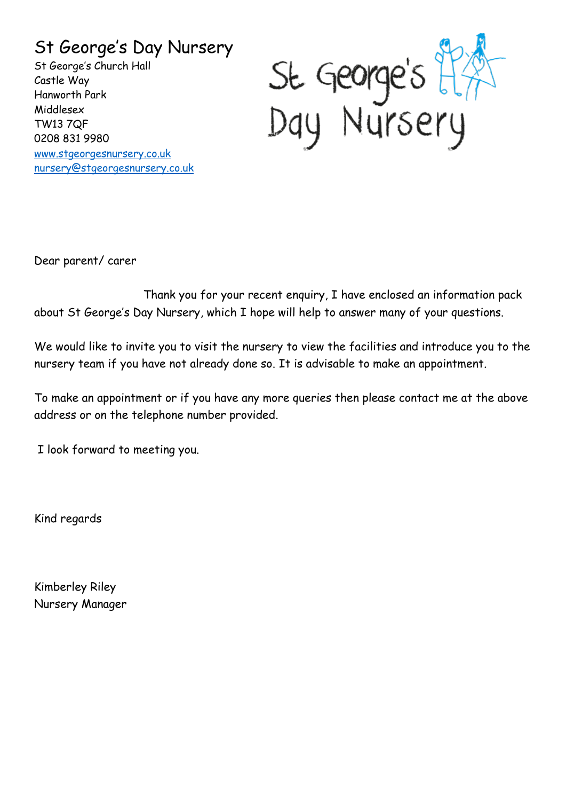### St George's Day Nursery

St George's Church Hall Castle Way Hanworth Park Middlesex TW13 7QF 0208 831 9980 [www.stgeorgesnursery.co.uk](http://www.stgeorgesnursery.co.uk/) [nursery@stgeorgesnursery.co.uk](mailto:nursery@stgeorgesnursery.co.uk)



Dear parent/ carer

 Thank you for your recent enquiry, I have enclosed an information pack about St George's Day Nursery, which I hope will help to answer many of your questions.

We would like to invite you to visit the nursery to view the facilities and introduce you to the nursery team if you have not already done so. It is advisable to make an appointment.

To make an appointment or if you have any more queries then please contact me at the above address or on the telephone number provided.

I look forward to meeting you.

Kind regards

Kimberley Riley Nursery Manager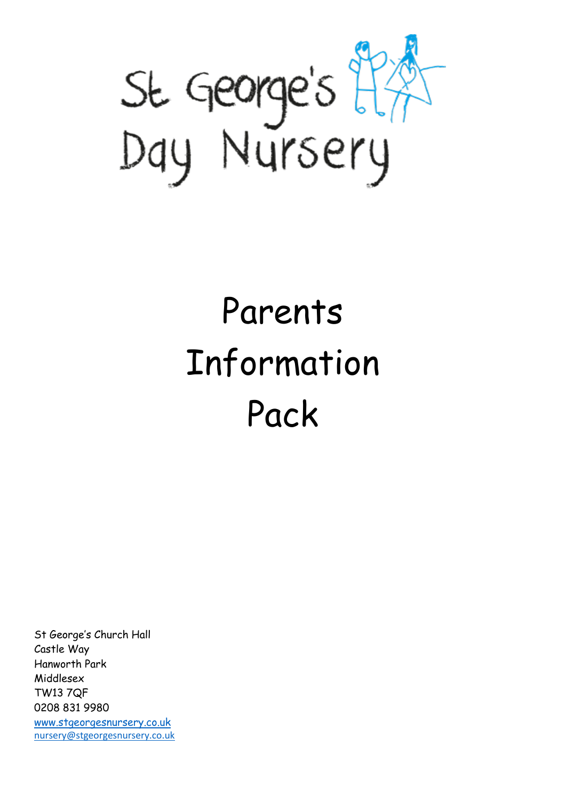

# Parents Information Pack

St George's Church Hall Castle Way Hanworth Park Middlesex TW13 7QF 0208 831 9980 [www.stgeorgesnursery.co.uk](http://www.stgeorgesnursery.co.uk/)

[nursery@stgeorgesnursery.co.uk](mailto:nursery@stgeorgesnursery.co.uk)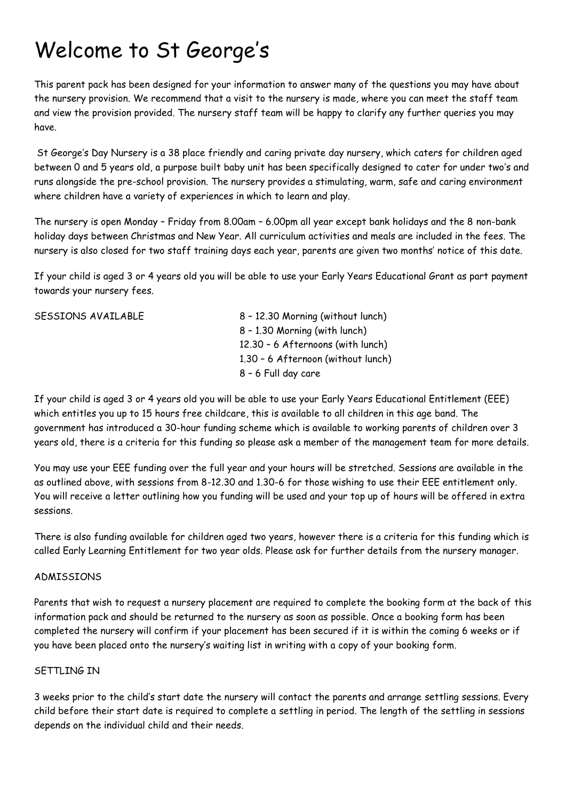## Welcome to St George's

This parent pack has been designed for your information to answer many of the questions you may have about the nursery provision. We recommend that a visit to the nursery is made, where you can meet the staff team and view the provision provided. The nursery staff team will be happy to clarify any further queries you may have.

St George's Day Nursery is a 38 place friendly and caring private day nursery, which caters for children aged between 0 and 5 years old, a purpose built baby unit has been specifically designed to cater for under two's and runs alongside the pre-school provision. The nursery provides a stimulating, warm, safe and caring environment where children have a variety of experiences in which to learn and play.

The nursery is open Monday – Friday from 8.00am – 6.00pm all year except bank holidays and the 8 non-bank holiday days between Christmas and New Year. All curriculum activities and meals are included in the fees. The nursery is also closed for two staff training days each year, parents are given two months' notice of this date.

If your child is aged 3 or 4 years old you will be able to use your Early Years Educational Grant as part payment towards your nursery fees.

| SESSIONS AVAILABLE | 8 - 12.30 Morning (without lunch)  |
|--------------------|------------------------------------|
|                    | 8 - 1.30 Morning (with lunch)      |
|                    | 12.30 - 6 Afternoons (with lunch)  |
|                    | 1.30 - 6 Afternoon (without lunch) |
|                    | 8 - 6 Full day care                |
|                    |                                    |

If your child is aged 3 or 4 years old you will be able to use your Early Years Educational Entitlement (EEE) which entitles you up to 15 hours free childcare, this is available to all children in this age band. The government has introduced a 30-hour funding scheme which is available to working parents of children over 3 years old, there is a criteria for this funding so please ask a member of the management team for more details.

You may use your EEE funding over the full year and your hours will be stretched. Sessions are available in the as outlined above, with sessions from 8-12.30 and 1.30-6 for those wishing to use their EEE entitlement only. You will receive a letter outlining how you funding will be used and your top up of hours will be offered in extra sessions.

There is also funding available for children aged two years, however there is a criteria for this funding which is called Early Learning Entitlement for two year olds. Please ask for further details from the nursery manager.

#### ADMISSIONS

Parents that wish to request a nursery placement are required to complete the booking form at the back of this information pack and should be returned to the nursery as soon as possible. Once a booking form has been completed the nursery will confirm if your placement has been secured if it is within the coming 6 weeks or if you have been placed onto the nursery's waiting list in writing with a copy of your booking form.

#### SFTTLING IN

3 weeks prior to the child's start date the nursery will contact the parents and arrange settling sessions. Every child before their start date is required to complete a settling in period. The length of the settling in sessions depends on the individual child and their needs.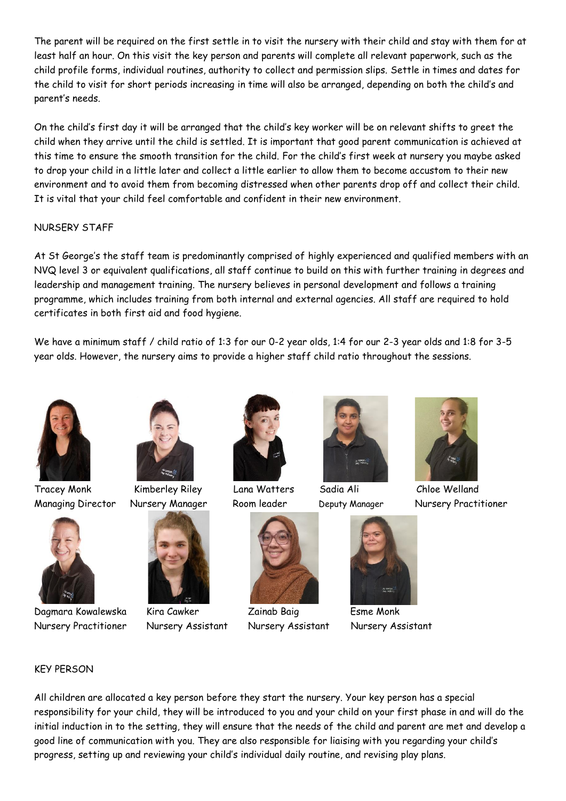The parent will be required on the first settle in to visit the nursery with their child and stay with them for at least half an hour. On this visit the key person and parents will complete all relevant paperwork, such as the child profile forms, individual routines, authority to collect and permission slips. Settle in times and dates for the child to visit for short periods increasing in time will also be arranged, depending on both the child's and parent's needs.

On the child's first day it will be arranged that the child's key worker will be on relevant shifts to greet the child when they arrive until the child is settled. It is important that good parent communication is achieved at this time to ensure the smooth transition for the child. For the child's first week at nursery you maybe asked to drop your child in a little later and collect a little earlier to allow them to become accustom to their new environment and to avoid them from becoming distressed when other parents drop off and collect their child. It is vital that your child feel comfortable and confident in their new environment.

#### NURSERY STAFF

At St George's the staff team is predominantly comprised of highly experienced and qualified members with an NVQ level 3 or equivalent qualifications, all staff continue to build on this with further training in degrees and leadership and management training. The nursery believes in personal development and follows a training programme, which includes training from both internal and external agencies. All staff are required to hold certificates in both first aid and food hygiene.

We have a minimum staff / child ratio of 1:3 for our 0-2 year olds, 1:4 for our 2-3 year olds and 1:8 for 3-5 year olds. However, the nursery aims to provide a higher staff child ratio throughout the sessions.





Dagmara Kowalewska Kira Cawker Zainab Baig Esme Monk Nursery Practitioner Nursery Assistant Nursery Assistant Nursery Assistant



Tracey Monk Kimberley Riley Lana Watters Sadia Ali Chloe Welland













Managing Director Nursery Manager Room leader Deputy Manager Nursery Practitioner

#### KEY PERSON

All children are allocated a key person before they start the nursery. Your key person has a special responsibility for your child, they will be introduced to you and your child on your first phase in and will do the initial induction in to the setting, they will ensure that the needs of the child and parent are met and develop a good line of communication with you. They are also responsible for liaising with you regarding your child's progress, setting up and reviewing your child's individual daily routine, and revising play plans.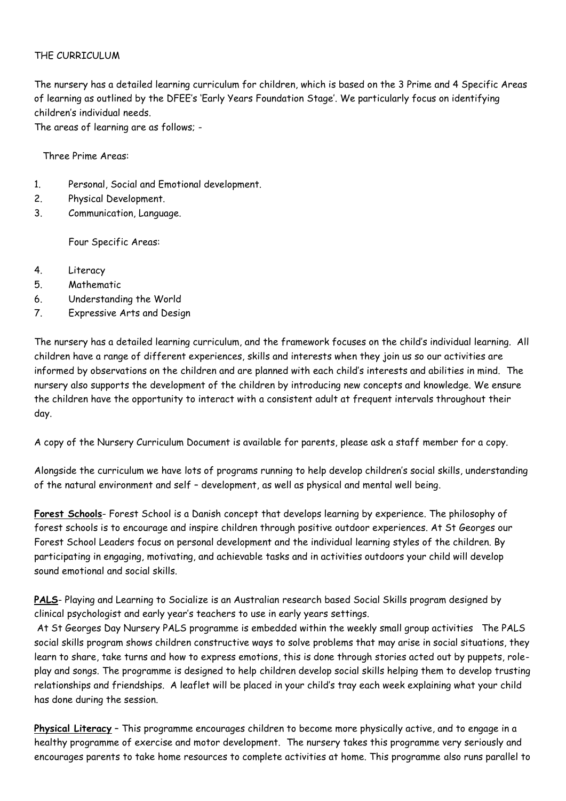#### THE CURRICULUM

The nursery has a detailed learning curriculum for children, which is based on the 3 Prime and 4 Specific Areas of learning as outlined by the DFEE's 'Early Years Foundation Stage'. We particularly focus on identifying children's individual needs.

The areas of learning are as follows; -

Three Prime Areas:

- 1. Personal, Social and Emotional development.
- 2. Physical Development.
- 3. Communication, Language.

Four Specific Areas:

- 4. Literacy
- 5. Mathematic
- 6. Understanding the World
- 7. Expressive Arts and Design

The nursery has a detailed learning curriculum, and the framework focuses on the child's individual learning. All children have a range of different experiences, skills and interests when they join us so our activities are informed by observations on the children and are planned with each child's interests and abilities in mind. The nursery also supports the development of the children by introducing new concepts and knowledge. We ensure the children have the opportunity to interact with a consistent adult at frequent intervals throughout their day.

A copy of the Nursery Curriculum Document is available for parents, please ask a staff member for a copy.

Alongside the curriculum we have lots of programs running to help develop children's social skills, understanding of the natural environment and self – development, as well as physical and mental well being.

**Forest Schools**- Forest School is a Danish concept that develops learning by experience. The philosophy of forest schools is to encourage and inspire children through positive outdoor experiences. At St Georges our Forest School Leaders focus on personal development and the individual learning styles of the children. By participating in engaging, motivating, and achievable tasks and in activities outdoors your child will develop sound emotional and social skills.

PALS- Playing and Learning to Socialize is an Australian research based Social Skills program designed by clinical psychologist and early year's teachers to use in early years settings.

At St Georges Day Nursery PALS programme is embedded within the weekly small group activities The PALS social skills program shows children constructive ways to solve problems that may arise in social situations, they learn to share, take turns and how to express emotions, this is done through stories acted out by puppets, roleplay and songs. The programme is designed to help children develop social skills helping them to develop trusting relationships and friendships. A leaflet will be placed in your child's tray each week explaining what your child has done during the session.

**Physical Literacy** – This programme encourages children to become more physically active, and to engage in a healthy programme of exercise and motor development. The nursery takes this programme very seriously and encourages parents to take home resources to complete activities at home. This programme also runs parallel to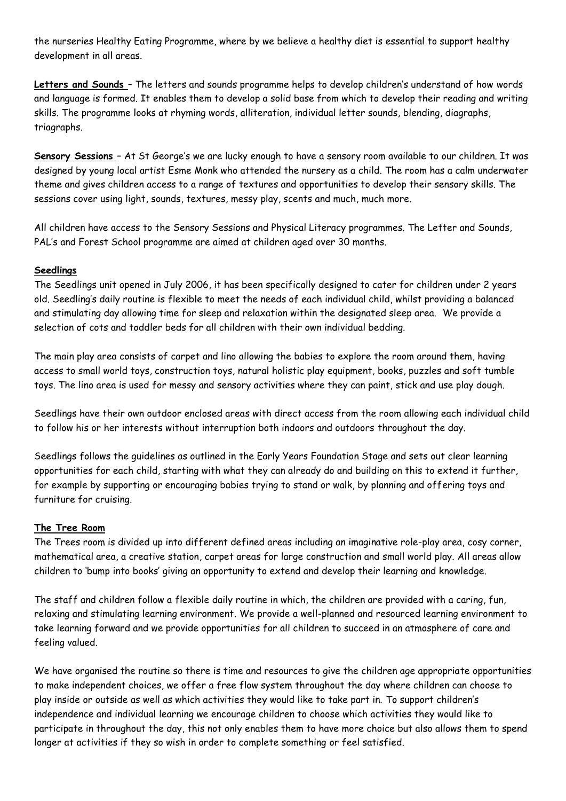the nurseries Healthy Eating Programme, where by we believe a healthy diet is essential to support healthy development in all areas.

**Letters and Sounds** – The letters and sounds programme helps to develop children's understand of how words and language is formed. It enables them to develop a solid base from which to develop their reading and writing skills. The programme looks at rhyming words, alliteration, individual letter sounds, blending, diagraphs, triagraphs.

**Sensory Sessions** – At St George's we are lucky enough to have a sensory room available to our children. It was designed by young local artist Esme Monk who attended the nursery as a child. The room has a calm underwater theme and gives children access to a range of textures and opportunities to develop their sensory skills. The sessions cover using light, sounds, textures, messy play, scents and much, much more.

All children have access to the Sensory Sessions and Physical Literacy programmes. The Letter and Sounds, PAL's and Forest School programme are aimed at children aged over 30 months.

#### **Seedlings**

The Seedlings unit opened in July 2006, it has been specifically designed to cater for children under 2 years old. Seedling's daily routine is flexible to meet the needs of each individual child, whilst providing a balanced and stimulating day allowing time for sleep and relaxation within the designated sleep area. We provide a selection of cots and toddler beds for all children with their own individual bedding.

The main play area consists of carpet and lino allowing the babies to explore the room around them, having access to small world toys, construction toys, natural holistic play equipment, books, puzzles and soft tumble toys. The lino area is used for messy and sensory activities where they can paint, stick and use play dough.

Seedlings have their own outdoor enclosed areas with direct access from the room allowing each individual child to follow his or her interests without interruption both indoors and outdoors throughout the day.

Seedlings follows the guidelines as outlined in the Early Years Foundation Stage and sets out clear learning opportunities for each child, starting with what they can already do and building on this to extend it further, for example by supporting or encouraging babies trying to stand or walk, by planning and offering toys and furniture for cruising.

#### **The Tree Room**

The Trees room is divided up into different defined areas including an imaginative role-play area, cosy corner, mathematical area, a creative station, carpet areas for large construction and small world play. All areas allow children to 'bump into books' giving an opportunity to extend and develop their learning and knowledge.

The staff and children follow a flexible daily routine in which, the children are provided with a caring, fun, relaxing and stimulating learning environment. We provide a well-planned and resourced learning environment to take learning forward and we provide opportunities for all children to succeed in an atmosphere of care and feeling valued.

We have organised the routine so there is time and resources to give the children age appropriate opportunities to make independent choices, we offer a free flow system throughout the day where children can choose to play inside or outside as well as which activities they would like to take part in. To support children's independence and individual learning we encourage children to choose which activities they would like to participate in throughout the day, this not only enables them to have more choice but also allows them to spend longer at activities if they so wish in order to complete something or feel satisfied.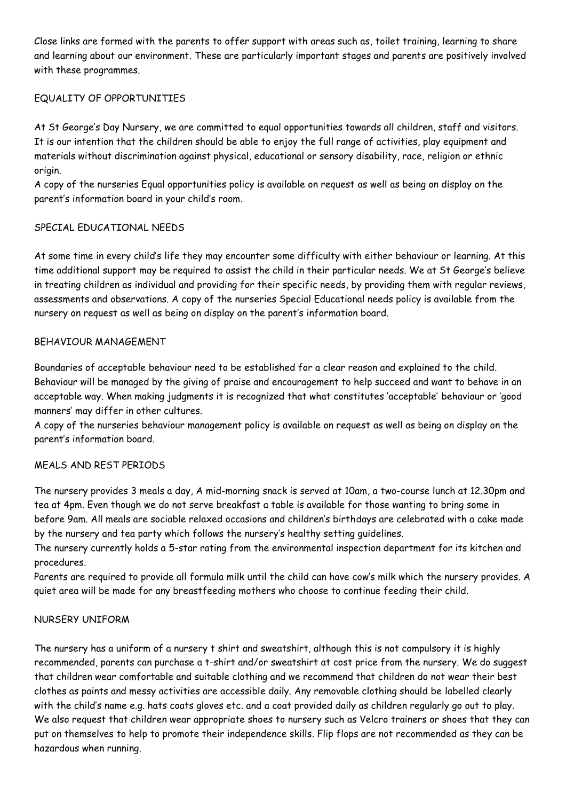Close links are formed with the parents to offer support with areas such as, toilet training, learning to share and learning about our environment. These are particularly important stages and parents are positively involved with these programmes.

#### EQUALITY OF OPPORTUNITIES

At St George's Day Nursery, we are committed to equal opportunities towards all children, staff and visitors. It is our intention that the children should be able to enjoy the full range of activities, play equipment and materials without discrimination against physical, educational or sensory disability, race, religion or ethnic origin.

A copy of the nurseries Equal opportunities policy is available on request as well as being on display on the parent's information board in your child's room.

#### SPECIAL EDUCATIONAL NEEDS

At some time in every child's life they may encounter some difficulty with either behaviour or learning. At this time additional support may be required to assist the child in their particular needs. We at St George's believe in treating children as individual and providing for their specific needs, by providing them with regular reviews, assessments and observations. A copy of the nurseries Special Educational needs policy is available from the nursery on request as well as being on display on the parent's information board.

#### BEHAVIOUR MANAGEMENT

Boundaries of acceptable behaviour need to be established for a clear reason and explained to the child. Behaviour will be managed by the giving of praise and encouragement to help succeed and want to behave in an acceptable way. When making judgments it is recognized that what constitutes 'acceptable' behaviour or 'good manners' may differ in other cultures.

A copy of the nurseries behaviour management policy is available on request as well as being on display on the parent's information board.

#### MEALS AND REST PERIODS

The nursery provides 3 meals a day, A mid-morning snack is served at 10am, a two-course lunch at 12.30pm and tea at 4pm. Even though we do not serve breakfast a table is available for those wanting to bring some in before 9am. All meals are sociable relaxed occasions and children's birthdays are celebrated with a cake made by the nursery and tea party which follows the nursery's healthy setting guidelines.

The nursery currently holds a 5-star rating from the environmental inspection department for its kitchen and procedures.

Parents are required to provide all formula milk until the child can have cow's milk which the nursery provides. A quiet area will be made for any breastfeeding mothers who choose to continue feeding their child.

#### NURSERY UNIFORM

The nursery has a uniform of a nursery t shirt and sweatshirt, although this is not compulsory it is highly recommended, parents can purchase a t-shirt and/or sweatshirt at cost price from the nursery. We do suggest that children wear comfortable and suitable clothing and we recommend that children do not wear their best clothes as paints and messy activities are accessible daily. Any removable clothing should be labelled clearly with the child's name e.g. hats coats gloves etc. and a coat provided daily as children regularly go out to play. We also request that children wear appropriate shoes to nursery such as Velcro trainers or shoes that they can put on themselves to help to promote their independence skills. Flip flops are not recommended as they can be hazardous when running.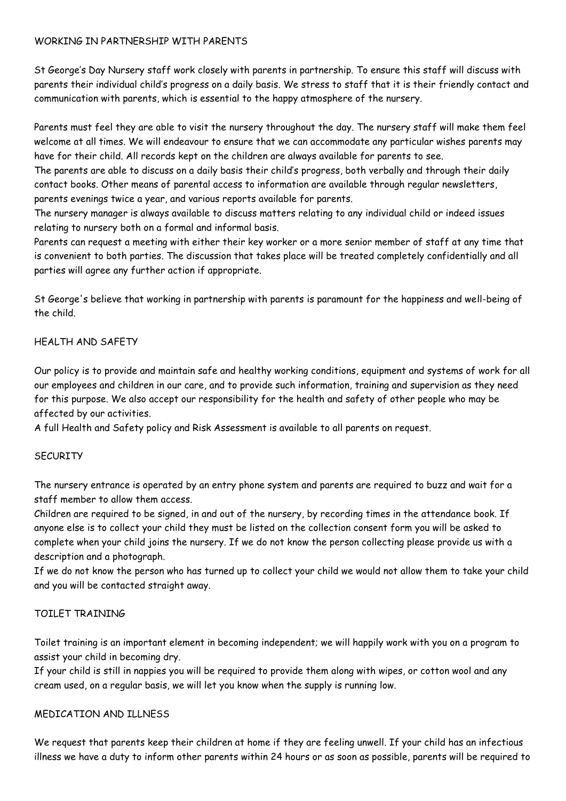#### WORKING IN PARTNERSHIP WITH PARENTS

St George's Day Nursery staff work closely with parents in partnership. To ensure this staff will discuss with parents their individual child's progress on a daily basis. We stress to staff that it is their friendly contact and communication with parents, which is essential to the happy atmosphere of the nursery.

Parents must feel they are able to visit the nursery throughout the day. The nursery staff will make them feel welcome at all times. We will endeavour to ensure that we can accommodate any particular wishes parents may have for their child. All records kept on the children are always available for parents to see.

The parents are able to discuss on a daily basis their child's progress, both verbally and through their daily contact books. Other means of parental access to information are available through regular newsletters, parents evenings twice a year, and various reports available for parents.

The nursery manager is always available to discuss matters relating to any individual child or indeed issues relating to nursery both on a formal and informal basis.

Parents can request a meeting with either their key worker or a more senior member of staff at any time that is convenient to both parties. The discussion that takes place will be treated completely confidentially and all parties will agree any further action if appropriate.

St George's believe that working in partnership with parents is paramount for the happiness and well-being of the child.

#### HEALTH AND SAFETY

Our policy is to provide and maintain safe and healthy working conditions, equipment and systems of work for all our employees and children in our care, and to provide such information, training and supervision as they need for this purpose. We also accept our responsibility for the health and safety of other people who may be affected by our activities.

A full Health and Safety policy and Risk Assessment is available to all parents on request.

#### **SECURITY**

The nursery entrance is operated by an entry phone system and parents are required to buzz and wait for a staff member to allow them access.

Children are required to be signed, in and out of the nursery, by recording times in the attendance book. If anyone else is to collect your child they must be listed on the collection consent form you will be asked to complete when your child joins the nursery. If we do not know the person collecting please provide us with a description and a photograph.

If we do not know the person who has turned up to collect your child we would not allow them to take your child and you will be contacted straight away.

#### TOILET TRAINING

Toilet training is an important element in becoming independent; we will happily work with you on a program to assist your child in becoming dry.

If your child is still in nappies you will be required to provide them along with wipes, or cotton wool and any cream used, on a regular basis, we will let you know when the supply is running low.

#### MEDICATION AND ILLNESS

We request that parents keep their children at home if they are feeling unwell. If your child has an infectious illness we have a duty to inform other parents within 24 hours or as soon as possible, parents will be required to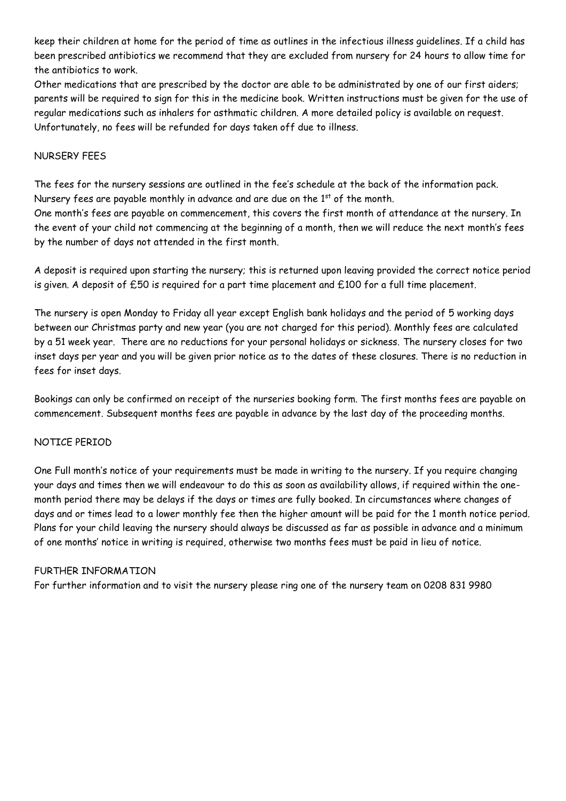keep their children at home for the period of time as outlines in the infectious illness guidelines. If a child has been prescribed antibiotics we recommend that they are excluded from nursery for 24 hours to allow time for the antibiotics to work.

Other medications that are prescribed by the doctor are able to be administrated by one of our first aiders; parents will be required to sign for this in the medicine book. Written instructions must be given for the use of regular medications such as inhalers for asthmatic children. A more detailed policy is available on request. Unfortunately, no fees will be refunded for days taken off due to illness.

#### NURSERY FEES

The fees for the nursery sessions are outlined in the fee's schedule at the back of the information pack. Nursery fees are payable monthly in advance and are due on the  $1<sup>st</sup>$  of the month.

One month's fees are payable on commencement, this covers the first month of attendance at the nursery. In the event of your child not commencing at the beginning of a month, then we will reduce the next month's fees by the number of days not attended in the first month.

A deposit is required upon starting the nursery; this is returned upon leaving provided the correct notice period is given. A deposit of £50 is required for a part time placement and £100 for a full time placement.

The nursery is open Monday to Friday all year except English bank holidays and the period of 5 working days between our Christmas party and new year (you are not charged for this period). Monthly fees are calculated by a 51 week year. There are no reductions for your personal holidays or sickness. The nursery closes for two inset days per year and you will be given prior notice as to the dates of these closures. There is no reduction in fees for inset days.

Bookings can only be confirmed on receipt of the nurseries booking form. The first months fees are payable on commencement. Subsequent months fees are payable in advance by the last day of the proceeding months.

#### NOTICE PERIOD

One Full month's notice of your requirements must be made in writing to the nursery. If you require changing your days and times then we will endeavour to do this as soon as availability allows, if required within the onemonth period there may be delays if the days or times are fully booked. In circumstances where changes of days and or times lead to a lower monthly fee then the higher amount will be paid for the 1 month notice period. Plans for your child leaving the nursery should always be discussed as far as possible in advance and a minimum of one months' notice in writing is required, otherwise two months fees must be paid in lieu of notice.

#### FURTHER INFORMATION

For further information and to visit the nursery please ring one of the nursery team on 0208 831 9980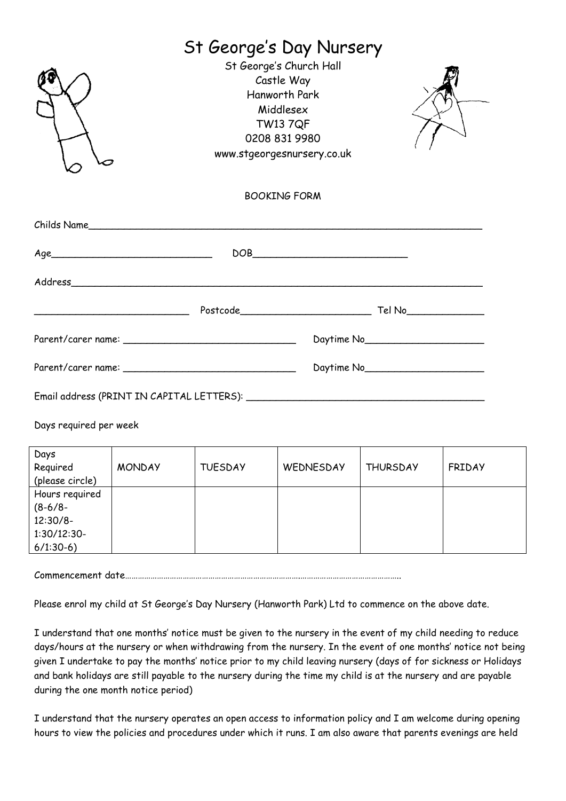|                        | St George's Day Nursery                                                                                                                                                                                                                                                                                                                                                 |                 |
|------------------------|-------------------------------------------------------------------------------------------------------------------------------------------------------------------------------------------------------------------------------------------------------------------------------------------------------------------------------------------------------------------------|-----------------|
|                        | St George's Church Hall<br>Castle Way<br><b>Hanworth Park</b><br>Middlesex<br><b>TW13 7QF</b><br>0208 831 9980<br>www.stgeorgesnursery.co.uk                                                                                                                                                                                                                            |                 |
|                        | <b>BOOKING FORM</b>                                                                                                                                                                                                                                                                                                                                                     |                 |
| Childs Name            |                                                                                                                                                                                                                                                                                                                                                                         |                 |
| Age                    | $\begin{picture}(180,10) \put(0,0){\dashbox{0.5}(10,0){ }} \put(10,0){\dashbox{0.5}(10,0){ }} \put(10,0){\dashbox{0.5}(10,0){ }} \put(10,0){\dashbox{0.5}(10,0){ }} \put(10,0){\dashbox{0.5}(10,0){ }} \put(10,0){\dashbox{0.5}(10,0){ }} \put(10,0){\dashbox{0.5}(10,0){ }} \put(10,0){\dashbox{0.5}(10,0){ }} \put(10,0){\dashbox{0.5}(10,0){ }} \put(10,0){\dashbox$ |                 |
|                        |                                                                                                                                                                                                                                                                                                                                                                         |                 |
|                        |                                                                                                                                                                                                                                                                                                                                                                         |                 |
|                        |                                                                                                                                                                                                                                                                                                                                                                         | Daytime No 2000 |
|                        |                                                                                                                                                                                                                                                                                                                                                                         |                 |
|                        |                                                                                                                                                                                                                                                                                                                                                                         |                 |
| Days required per week |                                                                                                                                                                                                                                                                                                                                                                         |                 |

| Days<br>Required<br>(please circle) | <b>MONDAY</b> | <b>TUESDAY</b> | WEDNESDAY | <b>THURSDAY</b> | <b>FRIDAY</b> |
|-------------------------------------|---------------|----------------|-----------|-----------------|---------------|
| Hours required<br>$(8-6/8-$         |               |                |           |                 |               |
| $12:30/8-$                          |               |                |           |                 |               |
| $1:30/12:30-$<br>$6/1:30-6$         |               |                |           |                 |               |

Commencement date……………………………………………………………………….………………………………………..

Please enrol my child at St George's Day Nursery (Hanworth Park) Ltd to commence on the above date.

I understand that one months' notice must be given to the nursery in the event of my child needing to reduce days/hours at the nursery or when withdrawing from the nursery. In the event of one months' notice not being given I undertake to pay the months' notice prior to my child leaving nursery (days of for sickness or Holidays and bank holidays are still payable to the nursery during the time my child is at the nursery and are payable during the one month notice period)

I understand that the nursery operates an open access to information policy and I am welcome during opening hours to view the policies and procedures under which it runs. I am also aware that parents evenings are held